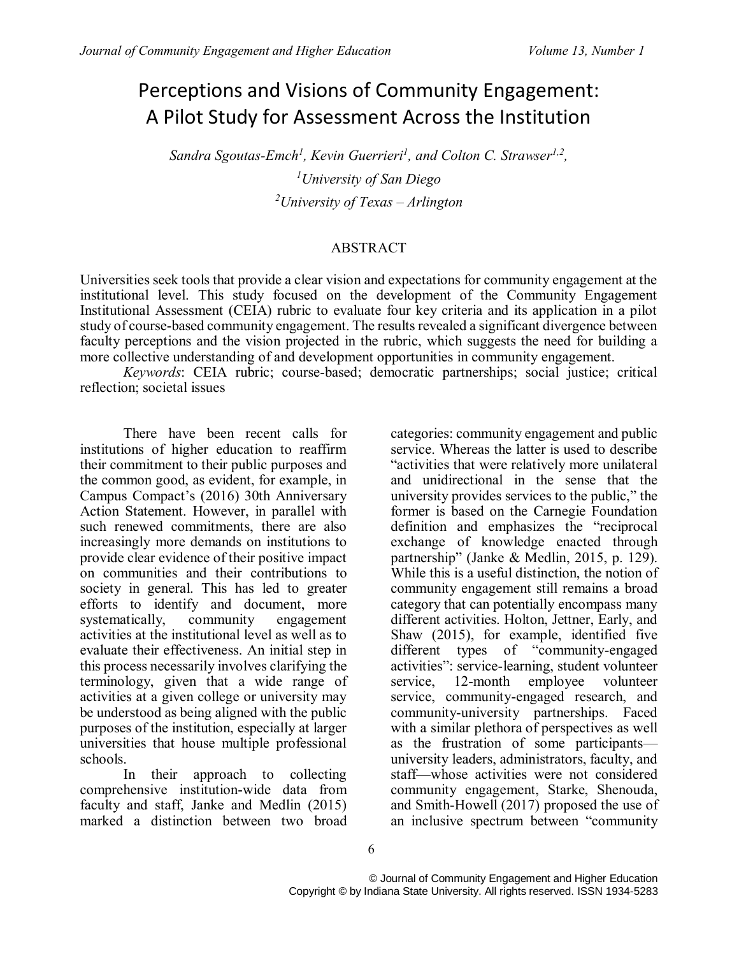# Perceptions and Visions of Community Engagement: A Pilot Study for Assessment Across the Institution

*Sandra Sgoutas-Emch<sup>1</sup> , Kevin Guerrieri<sup>1</sup> , and Colton C. Strawser1,2 , <sup>1</sup>University of San Diego <sup>2</sup>University of Texas – Arlington*

#### ABSTRACT

Universities seek tools that provide a clear vision and expectations for community engagement at the institutional level. This study focused on the development of the Community Engagement Institutional Assessment (CEIA) rubric to evaluate four key criteria and its application in a pilot study of course-based community engagement. The results revealed a significant divergence between faculty perceptions and the vision projected in the rubric, which suggests the need for building a more collective understanding of and development opportunities in community engagement.

*Keywords*: CEIA rubric; course-based; democratic partnerships; social justice; critical reflection; societal issues

There have been recent calls for institutions of higher education to reaffirm their commitment to their public purposes and the common good, as evident, for example, in Campus Compact's (2016) 30th Anniversary Action Statement. However, in parallel with such renewed commitments, there are also increasingly more demands on institutions to provide clear evidence of their positive impact on communities and their contributions to society in general. This has led to greater efforts to identify and document, more<br>systematically, community engagement systematically, community engagement activities at the institutional level as well as to evaluate their effectiveness. An initial step in this process necessarily involves clarifying the terminology, given that a wide range of activities at a given college or university may be understood as being aligned with the public purposes of the institution, especially at larger universities that house multiple professional schools.

In their approach to collecting comprehensive institution-wide data from faculty and staff, Janke and Medlin (2015) marked a distinction between two broad

categories: community engagement and public service. Whereas the latter is used to describe "activities that were relatively more unilateral and unidirectional in the sense that the university provides services to the public," the former is based on the Carnegie Foundation definition and emphasizes the "reciprocal exchange of knowledge enacted through partnership" (Janke & Medlin, 2015, p. 129). While this is a useful distinction, the notion of community engagement still remains a broad category that can potentially encompass many different activities. Holton, Jettner, Early, and Shaw (2015), for example, identified five different types of "community-engaged activities": service-learning, student volunteer service, 12-month employee volunteer service, community-engaged research, and community-university partnerships. Faced with a similar plethora of perspectives as well as the frustration of some participants university leaders, administrators, faculty, and staff—whose activities were not considered community engagement, Starke, Shenouda, and Smith-Howell (2017) proposed the use of an inclusive spectrum between "community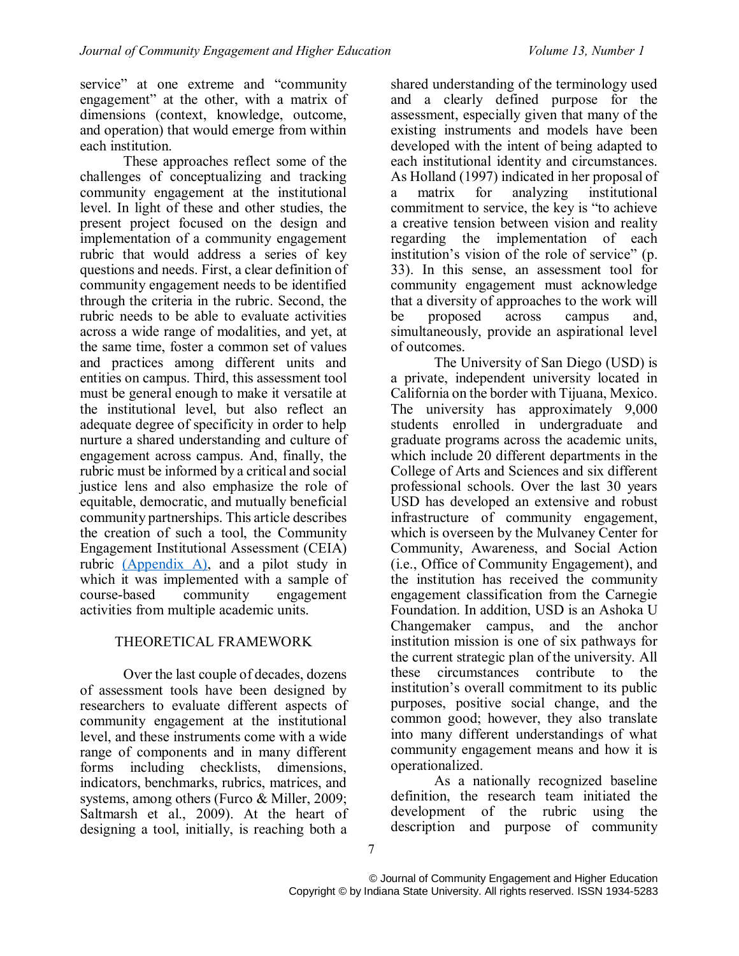service" at one extreme and "community engagement" at the other, with a matrix of dimensions (context, knowledge, outcome, and operation) that would emerge from within each institution.

These approaches reflect some of the challenges of conceptualizing and tracking community engagement at the institutional level. In light of these and other studies, the present project focused on the design and implementation of a community engagement rubric that would address a series of key questions and needs. First, a clear definition of community engagement needs to be identified through the criteria in the rubric. Second, the rubric needs to be able to evaluate activities across a wide range of modalities, and yet, at the same time, foster a common set of values and practices among different units and entities on campus. Third, this assessment tool must be general enough to make it versatile at the institutional level, but also reflect an adequate degree of specificity in order to help nurture a shared understanding and culture of engagement across campus. And, finally, the rubric must be informed by a critical and social justice lens and also emphasize the role of equitable, democratic, and mutually beneficial community partnerships. This article describes the creation of such a tool, the Community Engagement Institutional Assessment (CEIA) rubric [\(Appendix A\),](#page-10-0) and a pilot study in which it was implemented with a sample of course-based community engagement activities from multiple academic units.

# <span id="page-1-0"></span>THEORETICAL FRAMEWORK

Over the last couple of decades, dozens of assessment tools have been designed by researchers to evaluate different aspects of community engagement at the institutional level, and these instruments come with a wide range of components and in many different forms including checklists, dimensions, indicators, benchmarks, rubrics, matrices, and systems, among others (Furco & Miller, 2009; Saltmarsh et al., 2009). At the heart of designing a tool, initially, is reaching both a

shared understanding of the terminology used and a clearly defined purpose for the assessment, especially given that many of the existing instruments and models have been developed with the intent of being adapted to each institutional identity and circumstances. As Holland (1997) indicated in her proposal of a matrix for analyzing institutional commitment to service, the key is "to achieve a creative tension between vision and reality regarding the implementation of each institution's vision of the role of service" (p. 33). In this sense, an assessment tool for community engagement must acknowledge that a diversity of approaches to the work will be proposed across campus and, simultaneously, provide an aspirational level of outcomes.

The University of San Diego (USD) is a private, independent university located in California on the border with Tijuana, Mexico. The university has approximately 9,000 students enrolled in undergraduate and graduate programs across the academic units, which include 20 different departments in the College of Arts and Sciences and six different professional schools. Over the last 30 years USD has developed an extensive and robust infrastructure of community engagement, which is overseen by the Mulvaney Center for Community, Awareness, and Social Action (i.e., Office of Community Engagement), and the institution has received the community engagement classification from the Carnegie Foundation. In addition, USD is an Ashoka U Changemaker campus, and the anchor institution mission is one of six pathways for the current strategic plan of the university. All these circumstances contribute to the institution's overall commitment to its public purposes, positive social change, and the common good; however, they also translate into many different understandings of what community engagement means and how it is operationalized.

As a nationally recognized baseline definition, the research team initiated the development of the rubric using the description and purpose of community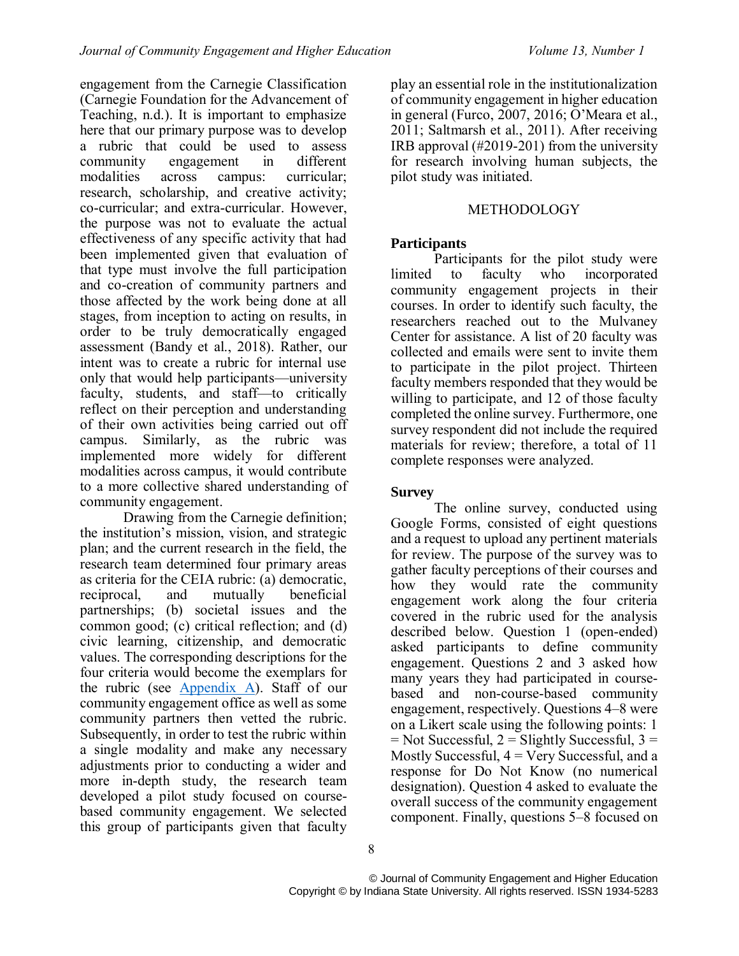engagement from the Carnegie Classification (Carnegie Foundation for the Advancement of Teaching, n.d.). It is important to emphasize here that our primary purpose was to develop a rubric that could be used to assess engagement in modalities across campus: curricular; research, scholarship, and creative activity; co-curricular; and extra-curricular. However, the purpose was not to evaluate the actual effectiveness of any specific activity that had been implemented given that evaluation of that type must involve the full participation and co-creation of community partners and those affected by the work being done at all stages, from inception to acting on results, in order to be truly democratically engaged assessment (Bandy et al., 2018). Rather, our intent was to create a rubric for internal use only that would help participants—university faculty, students, and staff—to critically reflect on their perception and understanding of their own activities being carried out off campus. Similarly, as the rubric was implemented more widely for different modalities across campus, it would contribute to a more collective shared understanding of community engagement.

<span id="page-2-0"></span>Drawing from the Carnegie definition; the institution's mission, vision, and strategic plan; and the current research in the field, the research team determined four primary areas as criteria for the CEIA rubric: (a) democratic, reciprocal, and mutually beneficial partnerships; (b) societal issues and the common good; (c) critical reflection; and (d) civic learning, citizenship, and democratic values. The corresponding descriptions for the four criteria would become the exemplars for the rubric (see [Appendix A\)](#page-10-0). Staff of our community engagement office as well as some community partners then vetted the rubric. Subsequently, in order to test the rubric within a single modality and make any necessary adjustments prior to conducting a wider and more in-depth study, the research team developed a pilot study focused on coursebased community engagement. We selected this group of participants given that faculty

play an essential role in the institutionalization of community engagement in higher education in general (Furco, 2007, 2016; O'Meara et al., 2011; Saltmarsh et al., 2011). After receiving IRB approval (#2019-201) from the university for research involving human subjects, the pilot study was initiated.

## METHODOLOGY

# **Participants**

Participants for the pilot study were limited to faculty who incorporated community engagement projects in their courses. In order to identify such faculty, the researchers reached out to the Mulvaney Center for assistance. A list of 20 faculty was collected and emails were sent to invite them to participate in the pilot project. Thirteen faculty members responded that they would be willing to participate, and 12 of those faculty completed the online survey. Furthermore, one survey respondent did not include the required materials for review; therefore, a total of 11 complete responses were analyzed.

## **Survey**

The online survey, conducted using Google Forms, consisted of eight questions and a request to upload any pertinent materials for review. The purpose of the survey was to gather faculty perceptions of their courses and how they would rate the community engagement work along the four criteria covered in the rubric used for the analysis described below. Question 1 (open-ended) asked participants to define community engagement. Questions 2 and 3 asked how many years they had participated in coursebased and non-course-based community engagement, respectively. Questions 4–8 were on a Likert scale using the following points: 1  $=$  Not Successful, 2  $=$  Slightly Successful, 3  $=$ Mostly Successful,  $4 = \text{Very Successful},$  and a response for Do Not Know (no numerical designation). Question 4 asked to evaluate the overall success of the community engagement component. Finally, questions 5–8 focused on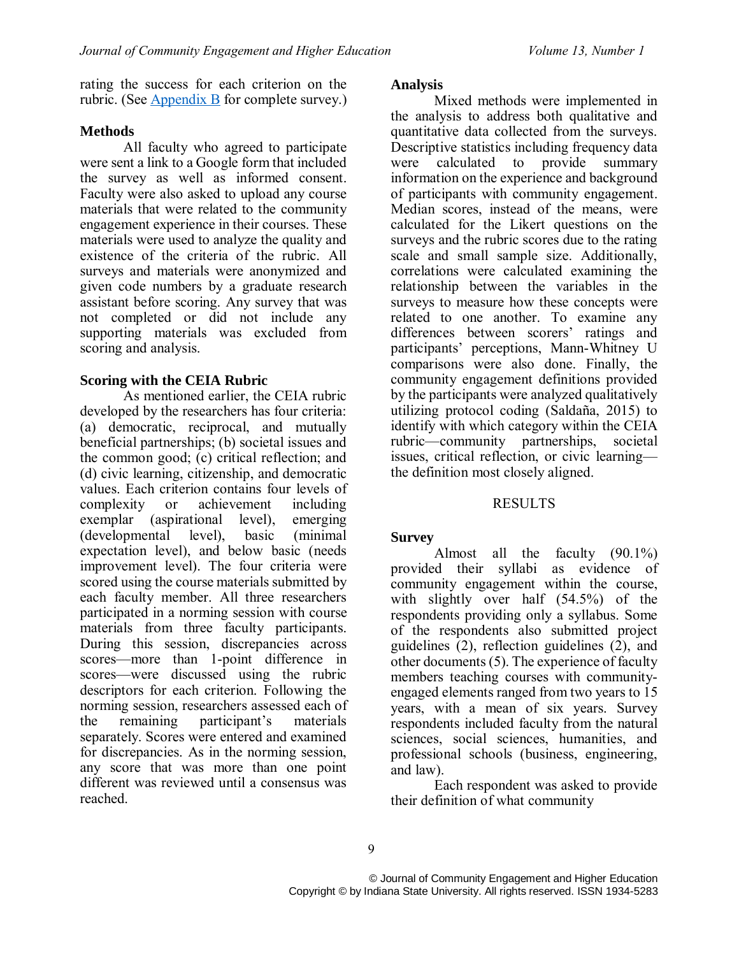rating the success for each criterion on the rubric. (See [Appendix B](#page-11-0) for complete survey.)

### **Methods**

All faculty who agreed to participate were sent a link to a Google form that included the survey as well as informed consent. Faculty were also asked to upload any course materials that were related to the community engagement experience in their courses. These materials were used to analyze the quality and existence of the criteria of the rubric. All surveys and materials were anonymized and given code numbers by a graduate research assistant before scoring. Any survey that was not completed or did not include any supporting materials was excluded from scoring and analysis.

#### **Scoring with the CEIA Rubric**

As mentioned earlier, the CEIA rubric developed by the researchers has four criteria: (a) democratic, reciprocal, and mutually beneficial partnerships; (b) societal issues and the common good; (c) critical reflection; and (d) civic learning, citizenship, and democratic values. Each criterion contains four levels of complexity or achievement including exemplar (aspirational level), emerging (developmental level), basic (minimal expectation level), and below basic (needs improvement level). The four criteria were scored using the course materials submitted by each faculty member. All three researchers participated in a norming session with course materials from three faculty participants. During this session, discrepancies across scores—more than 1-point difference in scores—were discussed using the rubric descriptors for each criterion. Following the norming session, researchers assessed each of the remaining participant's materials separately. Scores were entered and examined for discrepancies. As in the norming session, any score that was more than one point different was reviewed until a consensus was reached.

### **Analysis**

Mixed methods were implemented in the analysis to address both qualitative and quantitative data collected from the surveys. Descriptive statistics including frequency data were calculated to provide summary information on the experience and background of participants with community engagement. Median scores, instead of the means, were calculated for the Likert questions on the surveys and the rubric scores due to the rating scale and small sample size. Additionally, correlations were calculated examining the relationship between the variables in the surveys to measure how these concepts were related to one another. To examine any differences between scorers' ratings and participants' perceptions, Mann-Whitney U comparisons were also done. Finally, the community engagement definitions provided by the participants were analyzed qualitatively utilizing protocol coding (Saldaña, 2015) to identify with which category within the CEIA rubric—community partnerships, societal issues, critical reflection, or civic learning the definition most closely aligned.

## RESULTS

#### **Survey**

Almost all the faculty (90.1%) provided their syllabi as evidence of community engagement within the course, with slightly over half (54.5%) of the respondents providing only a syllabus. Some of the respondents also submitted project guidelines (2), reflection guidelines (2), and other documents (5). The experience of faculty members teaching courses with communityengaged elements ranged from two years to 15 years, with a mean of six years. Survey respondents included faculty from the natural sciences, social sciences, humanities, and professional schools (business, engineering, and law).

Each respondent was asked to provide their definition of what community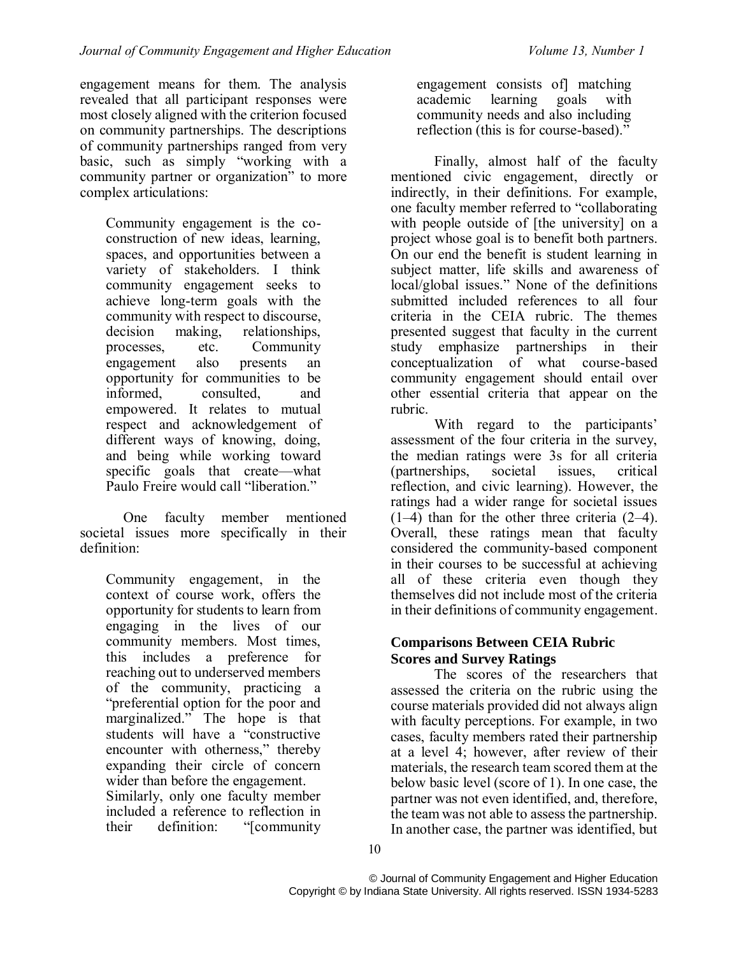engagement means for them. The analysis revealed that all participant responses were most closely aligned with the criterion focused on community partnerships. The descriptions of community partnerships ranged from very basic, such as simply "working with a community partner or organization" to more complex articulations:

Community engagement is the coconstruction of new ideas, learning, spaces, and opportunities between a variety of stakeholders. I think community engagement seeks to achieve long-term goals with the community with respect to discourse, decision making, relationships, processes, etc. Community engagement also presents an opportunity for communities to be informed, consulted, and empowered. It relates to mutual respect and acknowledgement of different ways of knowing, doing, and being while working toward specific goals that create—what Paulo Freire would call "liberation."

One faculty member mentioned societal issues more specifically in their definition:

Community engagement, in the context of course work, offers the opportunity for students to learn from engaging in the lives of our community members. Most times, this includes a preference for reaching out to underserved members of the community, practicing a "preferential option for the poor and marginalized." The hope is that students will have a "constructive encounter with otherness," thereby expanding their circle of concern wider than before the engagement. Similarly, only one faculty member included a reference to reflection in their definition: "[community

engagement consists of] matching academic learning goals with community needs and also including reflection (this is for course-based)."

Finally, almost half of the faculty mentioned civic engagement, directly or indirectly, in their definitions. For example, one faculty member referred to "collaborating with people outside of [the university] on a project whose goal is to benefit both partners. On our end the benefit is student learning in subject matter, life skills and awareness of local/global issues." None of the definitions submitted included references to all four criteria in the CEIA rubric. The themes presented suggest that faculty in the current study emphasize partnerships in their conceptualization of what course-based community engagement should entail over other essential criteria that appear on the rubric.

With regard to the participants' assessment of the four criteria in the survey, the median ratings were 3s for all criteria (partnerships, societal issues, critical reflection, and civic learning). However, the ratings had a wider range for societal issues (1–4) than for the other three criteria (2–4). Overall, these ratings mean that faculty considered the community-based component in their courses to be successful at achieving all of these criteria even though they themselves did not include most of the criteria in their definitions of community engagement.

#### **Comparisons Between CEIA Rubric Scores and Survey Ratings**

The scores of the researchers that assessed the criteria on the rubric using the course materials provided did not always align with faculty perceptions. For example, in two cases, faculty members rated their partnership at a level 4; however, after review of their materials, the research team scored them at the below basic level (score of 1). In one case, the partner was not even identified, and, therefore, the team was not able to assess the partnership. In another case, the partner was identified, but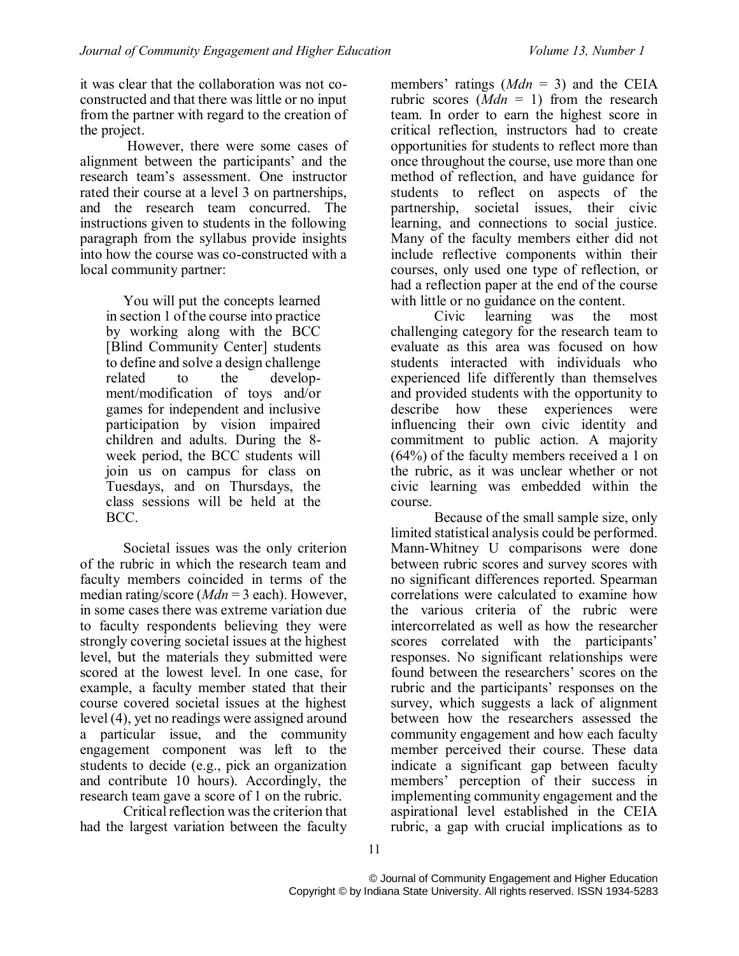it was clear that the collaboration was not coconstructed and that there was little or no input from the partner with regard to the creation of the project.

However, there were some cases of alignment between the participants' and the research team's assessment. One instructor rated their course at a level 3 on partnerships, and the research team concurred. The instructions given to students in the following paragraph from the syllabus provide insights into how the course was co-constructed with a local community partner:

You will put the concepts learned in section 1 of the course into practice by working along with the BCC [Blind Community Center] students to define and solve a design challenge related to the development/modification of toys and/or games for independent and inclusive participation by vision impaired children and adults. During the 8 week period, the BCC students will join us on campus for class on Tuesdays, and on Thursdays, the class sessions will be held at the BCC.

Societal issues was the only criterion of the rubric in which the research team and faculty members coincided in terms of the median rating/score (*Mdn* = 3 each). However, in some cases there was extreme variation due to faculty respondents believing they were strongly covering societal issues at the highest level, but the materials they submitted were scored at the lowest level. In one case, for example, a faculty member stated that their course covered societal issues at the highest level (4), yet no readings were assigned around a particular issue, and the community engagement component was left to the students to decide (e.g., pick an organization and contribute 10 hours). Accordingly, the research team gave a score of 1 on the rubric.

Critical reflection was the criterion that had the largest variation between the faculty

members' ratings (*Mdn* = 3) and the CEIA rubric scores  $(Mdn = 1)$  from the research team. In order to earn the highest score in critical reflection, instructors had to create opportunities for students to reflect more than once throughout the course, use more than one method of reflection, and have guidance for students to reflect on aspects of the partnership, societal issues, their civic learning, and connections to social justice. Many of the faculty members either did not include reflective components within their courses, only used one type of reflection, or had a reflection paper at the end of the course with little or no guidance on the content.

Civic learning was the most challenging category for the research team to evaluate as this area was focused on how students interacted with individuals who experienced life differently than themselves and provided students with the opportunity to describe how these experiences were influencing their own civic identity and commitment to public action. A majority (64%) of the faculty members received a 1 on the rubric, as it was unclear whether or not civic learning was embedded within the course.

Because of the small sample size, only limited statistical analysis could be performed. Mann-Whitney U comparisons were done between rubric scores and survey scores with no significant differences reported. Spearman correlations were calculated to examine how the various criteria of the rubric were intercorrelated as well as how the researcher scores correlated with the participants' responses. No significant relationships were found between the researchers' scores on the rubric and the participants' responses on the survey, which suggests a lack of alignment between how the researchers assessed the community engagement and how each faculty member perceived their course. These data indicate a significant gap between faculty members' perception of their success in implementing community engagement and the aspirational level established in the CEIA rubric, a gap with crucial implications as to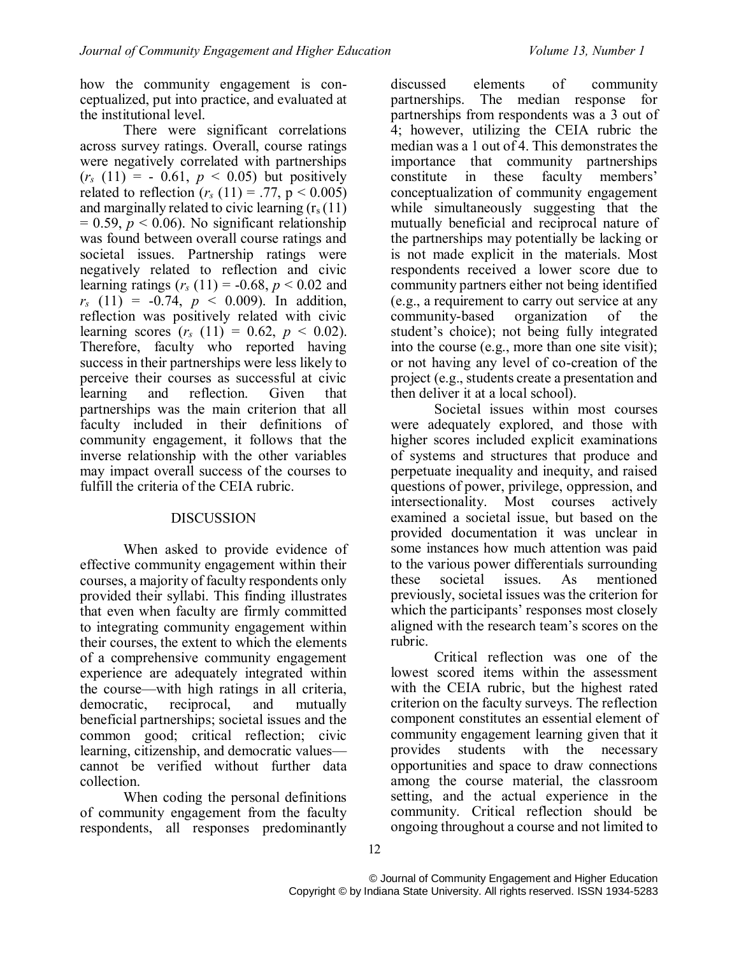how the community engagement is conceptualized, put into practice, and evaluated at the institutional level.

There were significant correlations across survey ratings. Overall, course ratings were negatively correlated with partnerships  $(r_s(11)) = -0.61, p < 0.05)$  but positively related to reflection ( $r_s$  (11) = .77, p < 0.005) and marginally related to civic learning  $(r<sub>s</sub>(11))$  $= 0.59$ ,  $p < 0.06$ ). No significant relationship was found between overall course ratings and societal issues. Partnership ratings were negatively related to reflection and civic learning ratings ( $r_s$  (11) = -0.68,  $p < 0.02$  and  $r_s$  (11) = -0.74,  $p < 0.009$ ). In addition, reflection was positively related with civic learning scores  $(r_s (11) = 0.62, p < 0.02)$ . Therefore, faculty who reported having success in their partnerships were less likely to perceive their courses as successful at civic learning and reflection. Given that partnerships was the main criterion that all faculty included in their definitions of community engagement, it follows that the inverse relationship with the other variables may impact overall success of the courses to fulfill the criteria of the CEIA rubric.

## DISCUSSION

When asked to provide evidence of effective community engagement within their courses, a majority of faculty respondents only provided their syllabi. This finding illustrates that even when faculty are firmly committed to integrating community engagement within their courses, the extent to which the elements of a comprehensive community engagement experience are adequately integrated within the course—with high ratings in all criteria, democratic, reciprocal, and mutually beneficial partnerships; societal issues and the common good; critical reflection; civic learning, citizenship, and democratic values cannot be verified without further data collection.

When coding the personal definitions of community engagement from the faculty respondents, all responses predominantly

discussed elements of community partnerships. The median response for partnerships from respondents was a 3 out of 4; however, utilizing the CEIA rubric the median was a 1 out of 4. This demonstrates the importance that community partnerships<br>constitute in these faculty members' constitute in these conceptualization of community engagement while simultaneously suggesting that the mutually beneficial and reciprocal nature of the partnerships may potentially be lacking or is not made explicit in the materials. Most respondents received a lower score due to community partners either not being identified (e.g., a requirement to carry out service at any community-based organization of the student's choice); not being fully integrated into the course (e.g., more than one site visit); or not having any level of co-creation of the project (e.g., students create a presentation and then deliver it at a local school).

Societal issues within most courses were adequately explored, and those with higher scores included explicit examinations of systems and structures that produce and perpetuate inequality and inequity, and raised questions of power, privilege, oppression, and intersectionality. Most courses actively examined a societal issue, but based on the provided documentation it was unclear in some instances how much attention was paid to the various power differentials surrounding these societal issues. As mentioned previously, societal issues was the criterion for which the participants' responses most closely aligned with the research team's scores on the rubric.

Critical reflection was one of the lowest scored items within the assessment with the CEIA rubric, but the highest rated criterion on the faculty surveys. The reflection component constitutes an essential element of community engagement learning given that it provides students with the necessary opportunities and space to draw connections among the course material, the classroom setting, and the actual experience in the community. Critical reflection should be ongoing throughout a course and not limited to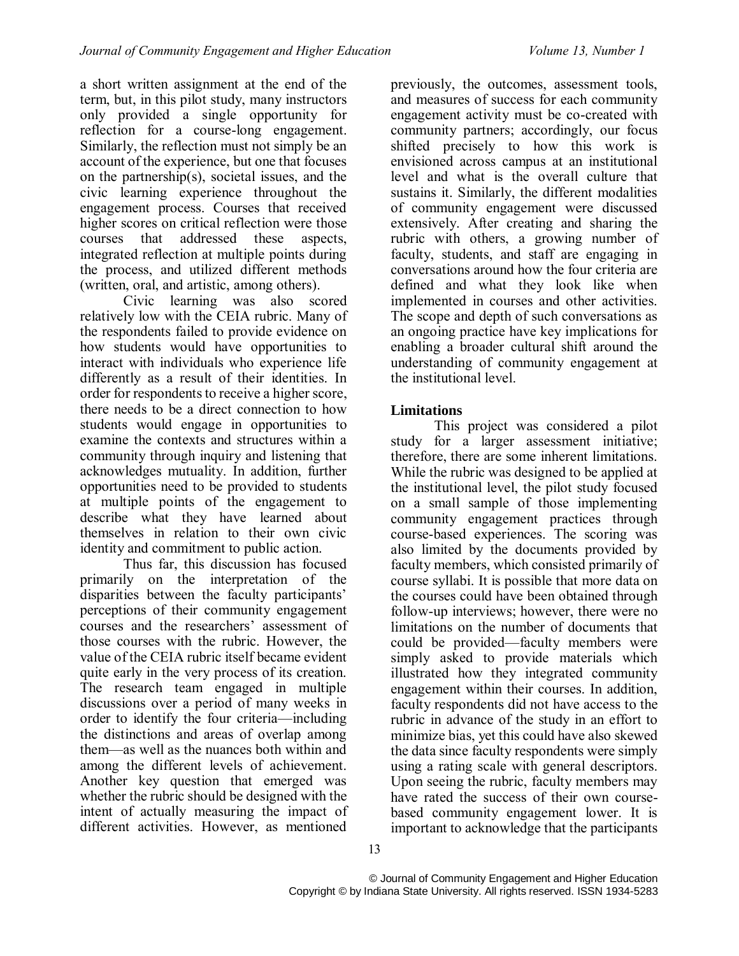a short written assignment at the end of the term, but, in this pilot study, many instructors only provided a single opportunity for reflection for a course-long engagement. Similarly, the reflection must not simply be an account of the experience, but one that focuses on the partnership(s), societal issues, and the civic learning experience throughout the engagement process. Courses that received higher scores on critical reflection were those courses that addressed these aspects, integrated reflection at multiple points during the process, and utilized different methods (written, oral, and artistic, among others).

Civic learning was also scored relatively low with the CEIA rubric. Many of the respondents failed to provide evidence on how students would have opportunities to interact with individuals who experience life differently as a result of their identities. In order for respondents to receive a higher score, there needs to be a direct connection to how students would engage in opportunities to examine the contexts and structures within a community through inquiry and listening that acknowledges mutuality. In addition, further opportunities need to be provided to students at multiple points of the engagement to describe what they have learned about themselves in relation to their own civic identity and commitment to public action.

Thus far, this discussion has focused primarily on the interpretation of the disparities between the faculty participants' perceptions of their community engagement courses and the researchers' assessment of those courses with the rubric. However, the value of the CEIA rubric itself became evident quite early in the very process of its creation. The research team engaged in multiple discussions over a period of many weeks in order to identify the four criteria—including the distinctions and areas of overlap among them—as well as the nuances both within and among the different levels of achievement. Another key question that emerged was whether the rubric should be designed with the intent of actually measuring the impact of different activities. However, as mentioned

previously, the outcomes, assessment tools, and measures of success for each community engagement activity must be co-created with community partners; accordingly, our focus shifted precisely to how this work is envisioned across campus at an institutional level and what is the overall culture that sustains it. Similarly, the different modalities of community engagement were discussed extensively. After creating and sharing the rubric with others, a growing number of faculty, students, and staff are engaging in conversations around how the four criteria are defined and what they look like when implemented in courses and other activities. The scope and depth of such conversations as an ongoing practice have key implications for enabling a broader cultural shift around the understanding of community engagement at the institutional level.

# **Limitations**

This project was considered a pilot study for a larger assessment initiative; therefore, there are some inherent limitations. While the rubric was designed to be applied at the institutional level, the pilot study focused on a small sample of those implementing community engagement practices through course-based experiences. The scoring was also limited by the documents provided by faculty members, which consisted primarily of course syllabi. It is possible that more data on the courses could have been obtained through follow-up interviews; however, there were no limitations on the number of documents that could be provided—faculty members were simply asked to provide materials which illustrated how they integrated community engagement within their courses. In addition, faculty respondents did not have access to the rubric in advance of the study in an effort to minimize bias, yet this could have also skewed the data since faculty respondents were simply using a rating scale with general descriptors. Upon seeing the rubric, faculty members may have rated the success of their own coursebased community engagement lower. It is important to acknowledge that the participants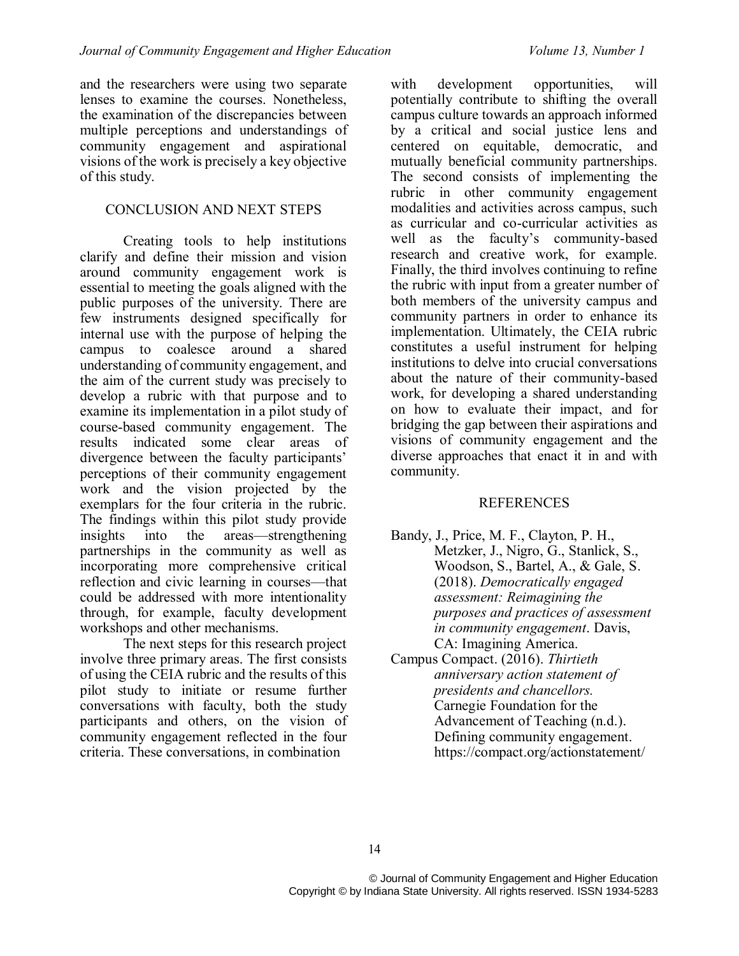and the researchers were using two separate lenses to examine the courses. Nonetheless, the examination of the discrepancies between multiple perceptions and understandings of community engagement and aspirational visions of the work is precisely a key objective of this study.

#### CONCLUSION AND NEXT STEPS

Creating tools to help institutions clarify and define their mission and vision around community engagement work is essential to meeting the goals aligned with the public purposes of the university. There are few instruments designed specifically for internal use with the purpose of helping the campus to coalesce around a shared understanding of community engagement, and the aim of the current study was precisely to develop a rubric with that purpose and to examine its implementation in a pilot study of course-based community engagement. The results indicated some clear areas of divergence between the faculty participants' perceptions of their community engagement work and the vision projected by the exemplars for the four criteria in the rubric. The findings within this pilot study provide insights into the areas—strengthening partnerships in the community as well as incorporating more comprehensive critical reflection and civic learning in courses—that could be addressed with more intentionality through, for example, faculty development workshops and other mechanisms.

The next steps for this research project involve three primary areas. The first consists of using the CEIA rubric and the results of this pilot study to initiate or resume further conversations with faculty, both the study participants and others, on the vision of community engagement reflected in the four criteria. These conversations, in combination

with development opportunities, will potentially contribute to shifting the overall campus culture towards an approach informed by a critical and social justice lens and centered on equitable, democratic, and mutually beneficial community partnerships. The second consists of implementing the rubric in other community engagement modalities and activities across campus, such as curricular and co-curricular activities as well as the faculty's community-based research and creative work, for example. Finally, the third involves continuing to refine the rubric with input from a greater number of both members of the university campus and community partners in order to enhance its implementation. Ultimately, the CEIA rubric constitutes a useful instrument for helping institutions to delve into crucial conversations about the nature of their community-based work, for developing a shared understanding on how to evaluate their impact, and for bridging the gap between their aspirations and visions of community engagement and the diverse approaches that enact it in and with community.

#### **REFERENCES**

- Bandy, J., Price, M. F., Clayton, P. H., Metzker, J., Nigro, G., Stanlick, S., Woodson, S., Bartel, A., & Gale, S. (2018). *Democratically engaged assessment: Reimagining the purposes and practices of assessment in community engagement*. Davis, CA: Imagining America.
- Campus Compact. (2016). *Thirtieth anniversary action statement of presidents and chancellors.* Carnegie Foundation for the Advancement of Teaching (n.d.). Defining community engagement. https://compact.org/actionstatement/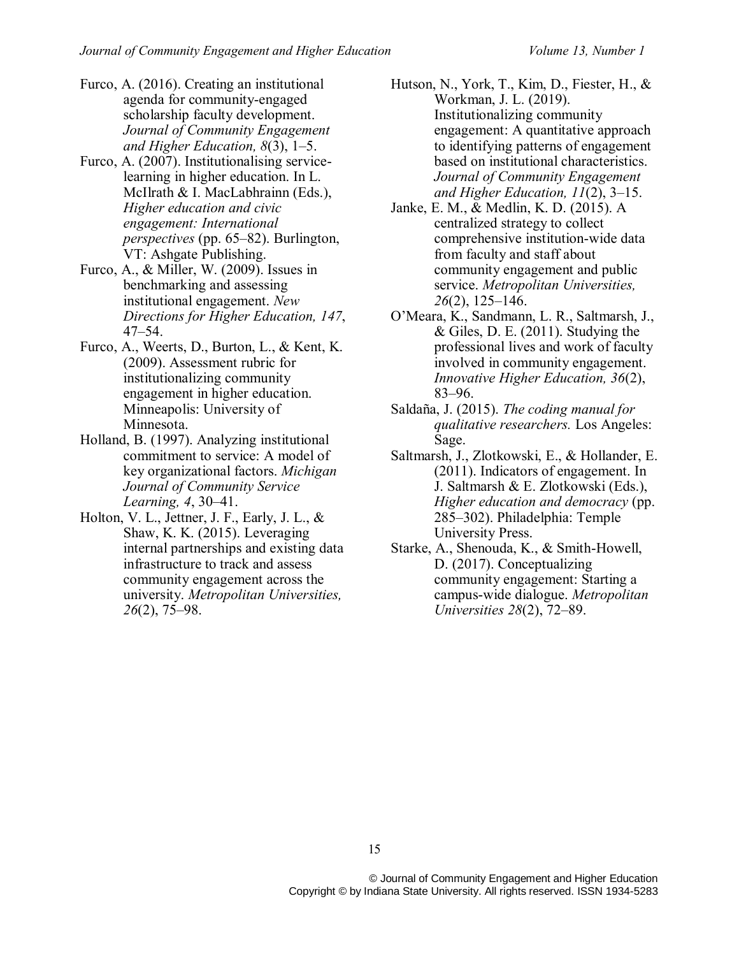- Furco, A. (2016). Creating an institutional agenda for community-engaged scholarship faculty development. *Journal of Community Engagement and Higher Education, 8*(3), 1–5.
- Furco, A. (2007). Institutionalising servicelearning in higher education. In L. McIlrath & I. MacLabhrainn (Eds.), *Higher education and civic engagement: International perspectives* (pp. 65–82). Burlington, VT: Ashgate Publishing.
- Furco, A., & Miller, W. (2009). Issues in benchmarking and assessing institutional engagement. *New Directions for Higher Education, 147*, 47–54.
- Furco, A., Weerts, D., Burton, L., & Kent, K. (2009). Assessment rubric for institutionalizing community engagement in higher education. Minneapolis: University of Minnesota.
- Holland, B. (1997). Analyzing institutional commitment to service: A model of key organizational factors. *Michigan Journal of Community Service Learning, 4*, 30–41.
- Holton, V. L., Jettner, J. F., Early, J. L., & Shaw, K. K. (2015). Leveraging internal partnerships and existing data infrastructure to track and assess community engagement across the university. *Metropolitan Universities, 26*(2), 75–98.
- Hutson, N., York, T., Kim, D., Fiester, H., & Workman, J. L. (2019). Institutionalizing community engagement: A quantitative approach to identifying patterns of engagement based on institutional characteristics. *Journal of Community Engagement and Higher Education, 11*(2), 3–15.
- Janke, E. M., & Medlin, K. D. (2015). A centralized strategy to collect comprehensive institution-wide data from faculty and staff about community engagement and public service. *Metropolitan Universities, 26*(2), 125–146.
- O'Meara, K., Sandmann, L. R., Saltmarsh, J., & Giles, D. E. (2011). Studying the professional lives and work of faculty involved in community engagement. *Innovative Higher Education, 36*(2), 83–96.
- Saldaña, J. (2015). *The coding manual for qualitative researchers.* Los Angeles: Sage.
- Saltmarsh, J., Zlotkowski, E., & Hollander, E. (2011). Indicators of engagement. In J. Saltmarsh & E. Zlotkowski (Eds.), *Higher education and democracy* (pp. 285–302). Philadelphia: Temple University Press.
- Starke, A., Shenouda, K., & Smith-Howell, D. (2017). Conceptualizing community engagement: Starting a campus-wide dialogue. *Metropolitan Universities 28*(2), 72–89.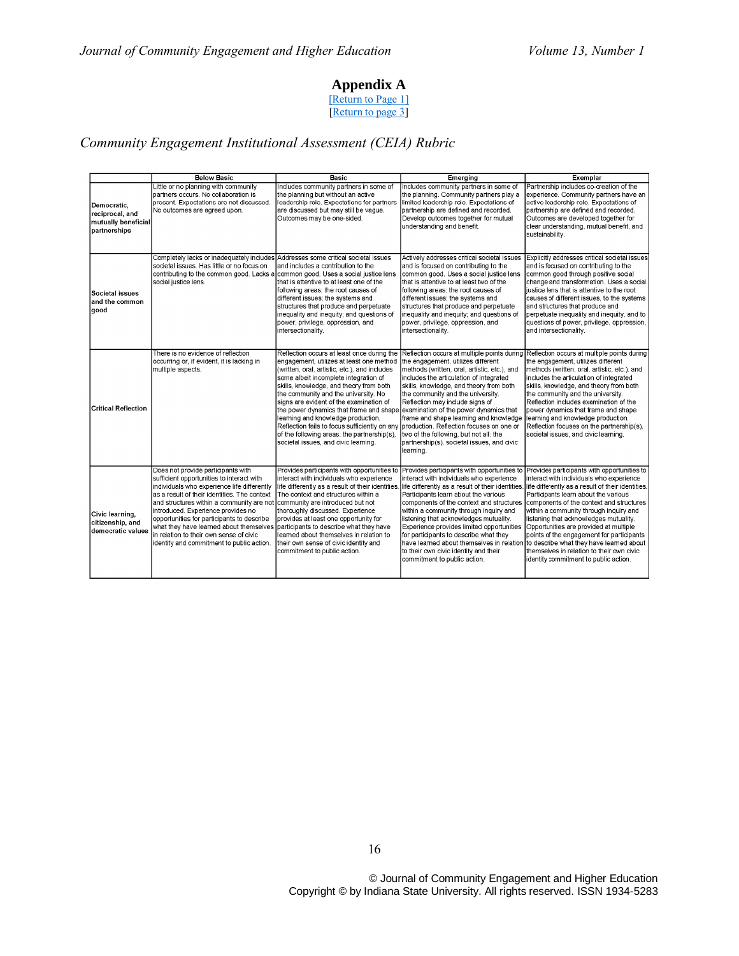#### **Appendix A**

[\[Return to Page 1\]](#page-1-0) [\[Return to page 3\]](#page-2-0)

# <span id="page-10-0"></span>*Community Engagement Institutional Assessment (CEIA) Rubric*

|                                                                       | <b>Below Basic</b>                                                                                                                                                                                                                                                                                                                                                                                                                                                                         | Basic                                                                                                                                                                                                                                                                                                                                                                                                                                                                                                                                                                         | Emerging                                                                                                                                                                                                                                                                                                                                                                                                                                                                                                                               | Exemplar                                                                                                                                                                                                                                                                                                                                                                                                                                                                                                                                                                                                                                    |
|-----------------------------------------------------------------------|--------------------------------------------------------------------------------------------------------------------------------------------------------------------------------------------------------------------------------------------------------------------------------------------------------------------------------------------------------------------------------------------------------------------------------------------------------------------------------------------|-------------------------------------------------------------------------------------------------------------------------------------------------------------------------------------------------------------------------------------------------------------------------------------------------------------------------------------------------------------------------------------------------------------------------------------------------------------------------------------------------------------------------------------------------------------------------------|----------------------------------------------------------------------------------------------------------------------------------------------------------------------------------------------------------------------------------------------------------------------------------------------------------------------------------------------------------------------------------------------------------------------------------------------------------------------------------------------------------------------------------------|---------------------------------------------------------------------------------------------------------------------------------------------------------------------------------------------------------------------------------------------------------------------------------------------------------------------------------------------------------------------------------------------------------------------------------------------------------------------------------------------------------------------------------------------------------------------------------------------------------------------------------------------|
| Democratic.<br>reciprocal, and<br>mutually beneficial<br>partnerships | Little or no planning with community<br>partners occurs. No collaboration is<br>present. Expectations are not discussed.<br>No outcomes are agreed upon.                                                                                                                                                                                                                                                                                                                                   | Includes community partners in some of<br>the planning but without an active<br>leadership role. Expectations for partners<br>are discussed but may still be vague.<br>Outcomes may be one-sided.                                                                                                                                                                                                                                                                                                                                                                             | Includes community partners in some of<br>the planning. Community partners play a<br>limited leadership role. Expectations of<br>partnership are defined and recorded.<br>Develop outcomes together for mutual<br>understanding and benefit.                                                                                                                                                                                                                                                                                           | Partnership includes co-creation of the<br>experience. Community partners have an<br>active leadership role. Expectations of<br>partnership are defined and recorded.<br>Outcomes are developed together for<br>clear understanding, mutual benefit, and<br>sustainability.                                                                                                                                                                                                                                                                                                                                                                 |
| Societal issues<br>and the common<br>qood                             | Completely lacks or inadequately includes Addresses some critical societal issues<br>societal issues. Has little or no focus on<br>contributing to the common good. Lacks a common good. Uses a social justice lens<br>social justice lens.                                                                                                                                                                                                                                                | and includes a contribution to the<br>that is attentive to at least one of the<br>following areas: the root causes of<br>different issues; the systems and<br>structures that produce and perpetuate<br>inequality and inequity; and questions of<br>power, privilege, oppression, and<br>intersectionality.                                                                                                                                                                                                                                                                  | Actively addresses critical societal issues<br>and is focused on contributing to the<br>common good. Uses a social justice lens<br>that is attentive to at least two of the<br>following areas: the root causes of<br>different issues: the systems and<br>structures that produce and perpetuate<br>inequality and inequity; and questions of<br>power, privilege, oppression, and<br>intersectionality.                                                                                                                              | Explicitly addresses critical societal issues<br>and is focused on contributing to the<br>common good through positive social<br>change and transformation. Uses a social<br>liustice lens that is attentive to the root<br>causes of different issues, to the systems<br>and structures that produce and<br>perpetuate inequality and inequity, and to<br>questions of power, privilege, oppression,<br>and intersectionality.                                                                                                                                                                                                             |
| Critical Reflection                                                   | There is no evidence of reflection<br>occurring or, if evident, it is lacking in<br>multiple aspects.                                                                                                                                                                                                                                                                                                                                                                                      | Reflection occurs at least once during the<br>engagement, utilizes at least one method<br>(written, oral, artistic, etc.), and includes<br>some albeit incomplete integration of<br>skills, knowledge, and theory from both<br>the community and the university. No<br>signs are evident of the examination of<br>the power dynamics that frame and shape examination of the power dynamics that<br>leaming and knowledge production.<br>Reflection fails to focus sufficiently on any<br>of the following areas: the partnership(s),<br>societal issues, and civic learning. | Reflection occurs at multiple points during Reflection occurs at multiple points during<br>the engagement, utilizes different<br>methods (written, oral, artistic, etc.), and<br>includes the articulation of integrated<br>skills, knowledge, and theory from both<br>the community and the university.<br>Reflection may include signs of<br>frame and shape learning and knowledge<br>production. Reflection focuses on one or<br>two of the following, but not all: the<br>partnership(s), societal issues, and civic<br>learning. | the engagement, utilizes different<br>methods (written, oral, artistic, etc.), and<br>includes the articulation of integrated<br>skills, knowledge, and theory from both<br>the community and the university.<br>Reflection includes examination of the<br>power dynamics that frame and shape<br>learning and knowledge production.<br>Reflection focuses on the partnership(s).<br>societal issues, and civic learning.                                                                                                                                                                                                                   |
| Civic learning,<br>citizenship, and<br>democratic values              | Does not provide participants with<br>sufficient opportunities to interact with<br>individuals who experience life differently<br>as a result of their identities. The context<br>and structures within a community are not<br>introduced. Experience provides no<br>opportunities for participants to describe<br>what they have learned about themselves participants to describe what they have<br>in relation to their own sense of civic<br>identity and commitment to public action. | Provides participants with opportunities to<br>interact with individuals who experience<br>life differently as a result of their identities.<br>The context and structures within a<br>community are introduced but not<br>thoroughly discussed. Experience<br>provides at least one opportunity for<br>learned about themselves in relation to<br>their own sense of civic identity and<br>commitment to public action.                                                                                                                                                      | interact with individuals who experience<br>Participants learn about the various<br>components of the context and structures<br>within a community through inquiry and<br>listening that acknowledges mutuality.<br>Experience provides limited opportunities<br>for participants to describe what they<br>have learned about themselves in relation<br>to their own civic identity and their<br>commitment to public action.                                                                                                          | Provides participants with opportunities to Provides participants with opportunities to<br>interact with individuals who experience<br>life differently as a result of their identities. life differently as a result of their identities.<br>Participants learn about the various<br>components of the context and structures<br>within a community through inquiry and<br>listening that acknowledges mutuality.<br>Opportunities are provided at multiple<br>points of the engagement for participants<br>to describe what they have learned about<br>themselves in relation to their own civic<br>identity commitment to public action. |